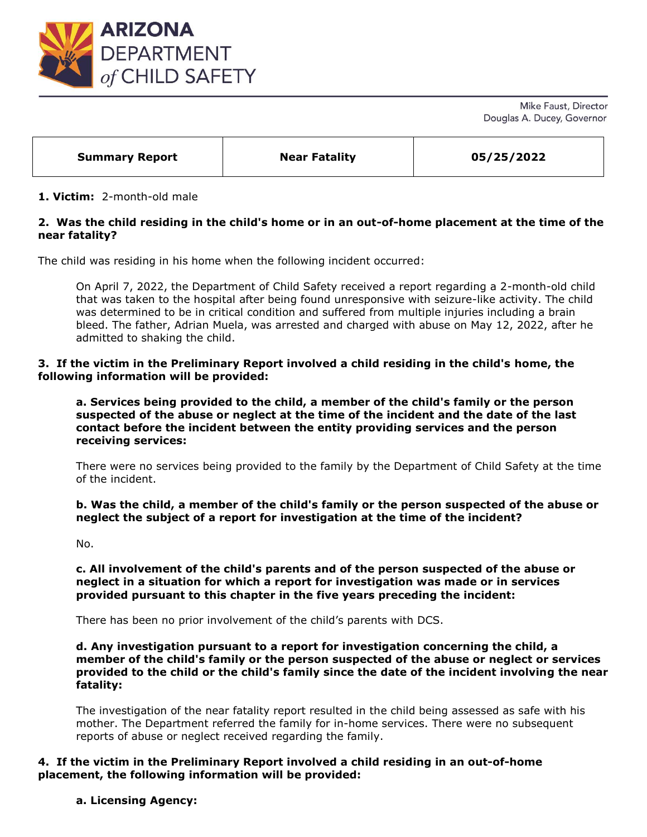

Mike Faust, Director Douglas A. Ducey, Governor

| <b>Summary Report</b> | <b>Near Fatality</b> | 05/25/2022 |  |
|-----------------------|----------------------|------------|--|
|                       |                      |            |  |

#### **1. Victim:** 2-month-old male

# **2. Was the child residing in the child's home or in an out-of-home placement at the time of the near fatality?**

The child was residing in his home when the following incident occurred:

On April 7, 2022, the Department of Child Safety received a report regarding a 2-month-old child that was taken to the hospital after being found unresponsive with seizure-like activity. The child was determined to be in critical condition and suffered from multiple injuries including a brain bleed. The father, Adrian Muela, was arrested and charged with abuse on May 12, 2022, after he admitted to shaking the child.

#### **3. If the victim in the Preliminary Report involved a child residing in the child's home, the following information will be provided:**

**a. Services being provided to the child, a member of the child's family or the person suspected of the abuse or neglect at the time of the incident and the date of the last contact before the incident between the entity providing services and the person receiving services:** 

There were no services being provided to the family by the Department of Child Safety at the time of the incident.

**b. Was the child, a member of the child's family or the person suspected of the abuse or neglect the subject of a report for investigation at the time of the incident?**

No.

**c. All involvement of the child's parents and of the person suspected of the abuse or neglect in a situation for which a report for investigation was made or in services provided pursuant to this chapter in the five years preceding the incident:**

There has been no prior involvement of the child's parents with DCS.

**d. Any investigation pursuant to a report for investigation concerning the child, a member of the child's family or the person suspected of the abuse or neglect or services provided to the child or the child's family since the date of the incident involving the near fatality:** 

The investigation of the near fatality report resulted in the child being assessed as safe with his mother. The Department referred the family for in-home services. There were no subsequent reports of abuse or neglect received regarding the family.

### **4. If the victim in the Preliminary Report involved a child residing in an out-of-home placement, the following information will be provided:**

**a. Licensing Agency:**